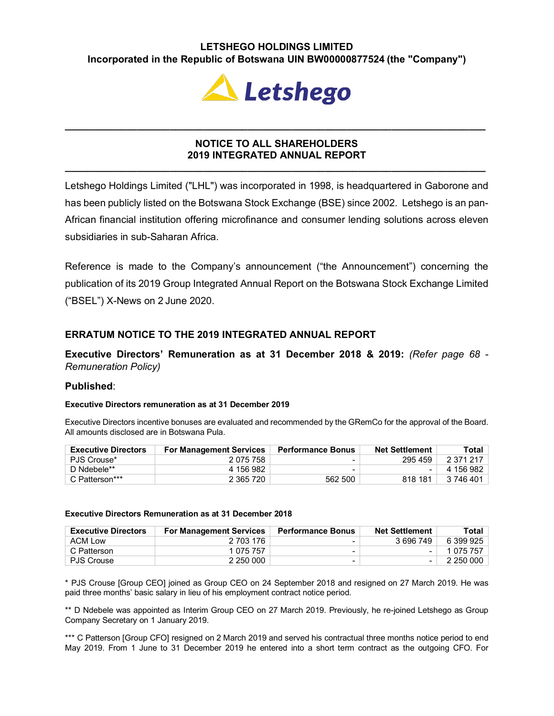# **LETSHEGO HOLDINGS LIMITED Incorporated in the Republic of Botswana UIN BW00000877524 (the "Company")**



## **NOTICE TO ALL SHAREHOLDERS 2019 INTEGRATED ANNUAL REPORT**

**\_\_\_\_\_\_\_\_\_\_\_\_\_\_\_\_\_\_\_\_\_\_\_\_\_\_\_\_\_\_\_\_\_\_\_\_\_\_\_\_\_\_\_\_\_\_\_\_\_\_\_\_\_\_\_\_\_\_\_\_\_\_\_\_\_\_\_\_\_\_\_\_\_\_\_\_**

**\_\_\_\_\_\_\_\_\_\_\_\_\_\_\_\_\_\_\_\_\_\_\_\_\_\_\_\_\_\_\_\_\_\_\_\_\_\_\_\_\_\_\_\_\_\_\_\_\_\_\_\_\_\_\_\_\_\_\_\_\_\_\_\_\_\_\_\_\_\_\_\_\_\_\_\_**

Letshego Holdings Limited ("LHL") was incorporated in 1998, is headquartered in Gaborone and has been publicly listed on the Botswana Stock Exchange (BSE) since 2002. Letshego is an pan-African financial institution offering microfinance and consumer lending solutions across eleven subsidiaries in sub-Saharan Africa.

Reference is made to the Company's announcement ("the Announcement") concerning the publication of its 2019 Group Integrated Annual Report on the Botswana Stock Exchange Limited ("BSEL") X-News on 2 June 2020.

## **ERRATUM NOTICE TO THE 2019 INTEGRATED ANNUAL REPORT**

**Executive Directors' Remuneration as at 31 December 2018 & 2019:** *(Refer page 68 - Remuneration Policy)*

## **Published**:

## **Executive Directors remuneration as at 31 December 2019**

Executive Directors incentive bonuses are evaluated and recommended by the GRemCo for the approval of the Board. All amounts disclosed are in Botswana Pula.

| <b>Executive Directors</b> | <b>For Management Services</b> | <b>Performance Bonus</b> | <b>Net Settlement</b> | Total     |
|----------------------------|--------------------------------|--------------------------|-----------------------|-----------|
| PJS Crouse*                | 2 075 758                      |                          | 295 459               | 2 371 217 |
| D Ndebele**                | 4 156 982                      |                          |                       | 4 156 982 |
| C Patterson***             | 2 365 720                      | 562 500                  | 818 181               | 3 746 401 |

#### **Executive Directors Remuneration as at 31 December 2018**

| <b>Executive Directors</b> | <b>For Management Services</b> | <b>Performance Bonus</b> | <b>Net Settlement</b>    | Total     |
|----------------------------|--------------------------------|--------------------------|--------------------------|-----------|
| ACM Low                    | 2 703 176                      | -                        | 3 696 749                | 6 399 925 |
| C Patterson                | 1 075 757                      |                          | $\overline{\phantom{0}}$ | 1 075 757 |
| <b>PJS Crouse</b>          | 2 250 000                      | -                        | $\overline{\phantom{a}}$ | 2 250 000 |

\* PJS Crouse [Group CEO] joined as Group CEO on 24 September 2018 and resigned on 27 March 2019. He was paid three months' basic salary in lieu of his employment contract notice period.

\*\* D Ndebele was appointed as Interim Group CEO on 27 March 2019. Previously, he re-joined Letshego as Group Company Secretary on 1 January 2019.

\*\*\* C Patterson [Group CFO] resigned on 2 March 2019 and served his contractual three months notice period to end May 2019. From 1 June to 31 December 2019 he entered into a short term contract as the outgoing CFO. For